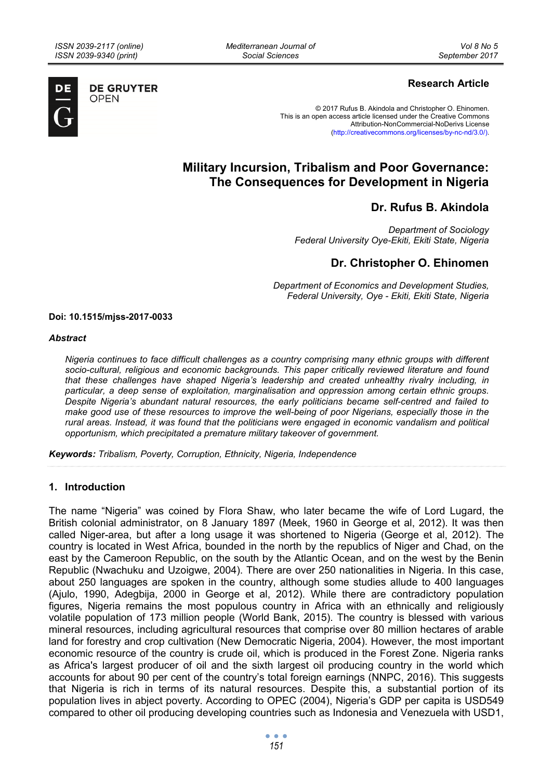*Mediterranean Journal of Social Sciences* 



**DE GRUYTER OPEN** 

## **Research Article**

© 2017 Rufus B. Akindola and Christopher O. Ehinomen. This is an open access article licensed under the Creative Commons Attribution-NonCommercial-NoDerivs License (http://creativecommons.org/licenses/by-nc-nd/3.0/).

# **Military Incursion, Tribalism and Poor Governance: The Consequences for Development in Nigeria**

## **Dr. Rufus B. Akindola**

*Department of Sociology Federal University Oye-Ekiti, Ekiti State, Nigeria* 

# **Dr. Christopher O. Ehinomen**

*Department of Economics and Development Studies, Federal University, Oye - Ekiti, Ekiti State, Nigeria* 

#### **Doi: 10.1515/mjss-2017-0033**

#### *Abstract*

*Nigeria continues to face difficult challenges as a country comprising many ethnic groups with different socio-cultural, religious and economic backgrounds. This paper critically reviewed literature and found that these challenges have shaped Nigeria's leadership and created unhealthy rivalry including, in particular, a deep sense of exploitation, marginalisation and oppression among certain ethnic groups. Despite Nigeria's abundant natural resources, the early politicians became self-centred and failed to make good use of these resources to improve the well-being of poor Nigerians, especially those in the rural areas. Instead, it was found that the politicians were engaged in economic vandalism and political opportunism, which precipitated a premature military takeover of government.* 

*Keywords: Tribalism, Poverty, Corruption, Ethnicity, Nigeria, Independence* 

### **1. Introduction**

The name "Nigeria" was coined by Flora Shaw, who later became the wife of Lord Lugard, the British colonial administrator, on 8 January 1897 (Meek, 1960 in George et al, 2012). It was then called Niger-area, but after a long usage it was shortened to Nigeria (George et al, 2012). The country is located in West Africa, bounded in the north by the republics of Niger and Chad, on the east by the Cameroon Republic, on the south by the Atlantic Ocean, and on the west by the Benin Republic (Nwachuku and Uzoigwe, 2004). There are over 250 nationalities in Nigeria. In this case, about 250 languages are spoken in the country, although some studies allude to 400 languages (Ajulo, 1990, Adegbija, 2000 in George et al, 2012). While there are contradictory population figures, Nigeria remains the most populous country in Africa with an ethnically and religiously volatile population of 173 million people (World Bank, 2015). The country is blessed with various mineral resources, including agricultural resources that comprise over 80 million hectares of arable land for forestry and crop cultivation (New Democratic Nigeria, 2004). However, the most important economic resource of the country is crude oil, which is produced in the Forest Zone. Nigeria ranks as Africa's largest producer of oil and the sixth largest oil producing country in the world which accounts for about 90 per cent of the country's total foreign earnings (NNPC, 2016). This suggests that Nigeria is rich in terms of its natural resources. Despite this, a substantial portion of its population lives in abject poverty. According to OPEC (2004), Nigeria's GDP per capita is USD549 compared to other oil producing developing countries such as Indonesia and Venezuela with USD1,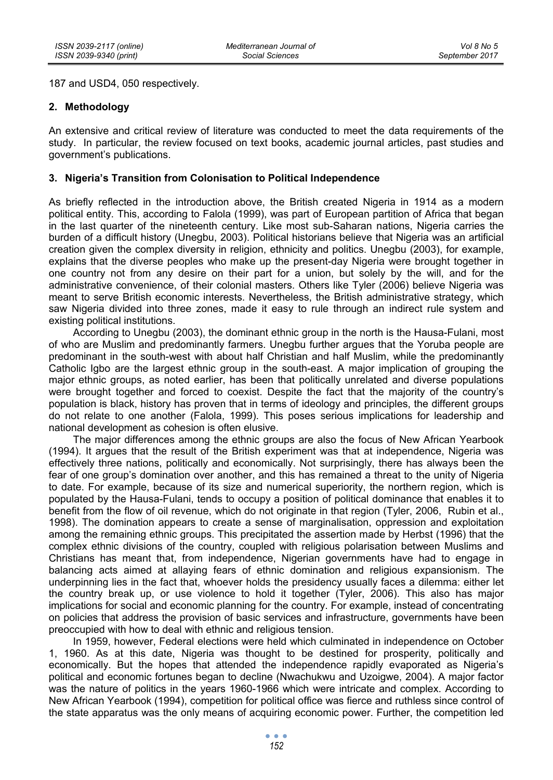187 and USD4, 050 respectively.

#### **2. Methodology**

An extensive and critical review of literature was conducted to meet the data requirements of the study. In particular, the review focused on text books, academic journal articles, past studies and government's publications.

### **3. Nigeria's Transition from Colonisation to Political Independence**

As briefly reflected in the introduction above, the British created Nigeria in 1914 as a modern political entity. This, according to Falola (1999), was part of European partition of Africa that began in the last quarter of the nineteenth century. Like most sub-Saharan nations, Nigeria carries the burden of a difficult history (Unegbu, 2003). Political historians believe that Nigeria was an artificial creation given the complex diversity in religion, ethnicity and politics. Unegbu (2003), for example, explains that the diverse peoples who make up the present-day Nigeria were brought together in one country not from any desire on their part for a union, but solely by the will, and for the administrative convenience, of their colonial masters. Others like Tyler (2006) believe Nigeria was meant to serve British economic interests. Nevertheless, the British administrative strategy, which saw Nigeria divided into three zones, made it easy to rule through an indirect rule system and existing political institutions.

According to Unegbu (2003), the dominant ethnic group in the north is the Hausa-Fulani, most of who are Muslim and predominantly farmers. Unegbu further argues that the Yoruba people are predominant in the south-west with about half Christian and half Muslim, while the predominantly Catholic Igbo are the largest ethnic group in the south-east. A major implication of grouping the major ethnic groups, as noted earlier, has been that politically unrelated and diverse populations were brought together and forced to coexist. Despite the fact that the majority of the country's population is black, history has proven that in terms of ideology and principles, the different groups do not relate to one another (Falola, 1999). This poses serious implications for leadership and national development as cohesion is often elusive.

The major differences among the ethnic groups are also the focus of New African Yearbook (1994). It argues that the result of the British experiment was that at independence, Nigeria was effectively three nations, politically and economically. Not surprisingly, there has always been the fear of one group's domination over another, and this has remained a threat to the unity of Nigeria to date. For example, because of its size and numerical superiority, the northern region, which is populated by the Hausa-Fulani, tends to occupy a position of political dominance that enables it to benefit from the flow of oil revenue, which do not originate in that region (Tyler, 2006, Rubin et al., 1998). The domination appears to create a sense of marginalisation, oppression and exploitation among the remaining ethnic groups. This precipitated the assertion made by Herbst (1996) that the complex ethnic divisions of the country, coupled with religious polarisation between Muslims and Christians has meant that, from independence, Nigerian governments have had to engage in balancing acts aimed at allaying fears of ethnic domination and religious expansionism. The underpinning lies in the fact that, whoever holds the presidency usually faces a dilemma: either let the country break up, or use violence to hold it together (Tyler, 2006). This also has major implications for social and economic planning for the country. For example, instead of concentrating on policies that address the provision of basic services and infrastructure, governments have been preoccupied with how to deal with ethnic and religious tension.

In 1959, however, Federal elections were held which culminated in independence on October 1, 1960. As at this date, Nigeria was thought to be destined for prosperity, politically and economically. But the hopes that attended the independence rapidly evaporated as Nigeria's political and economic fortunes began to decline (Nwachukwu and Uzoigwe, 2004). A major factor was the nature of politics in the years 1960-1966 which were intricate and complex. According to New African Yearbook (1994), competition for political office was fierce and ruthless since control of the state apparatus was the only means of acquiring economic power. Further, the competition led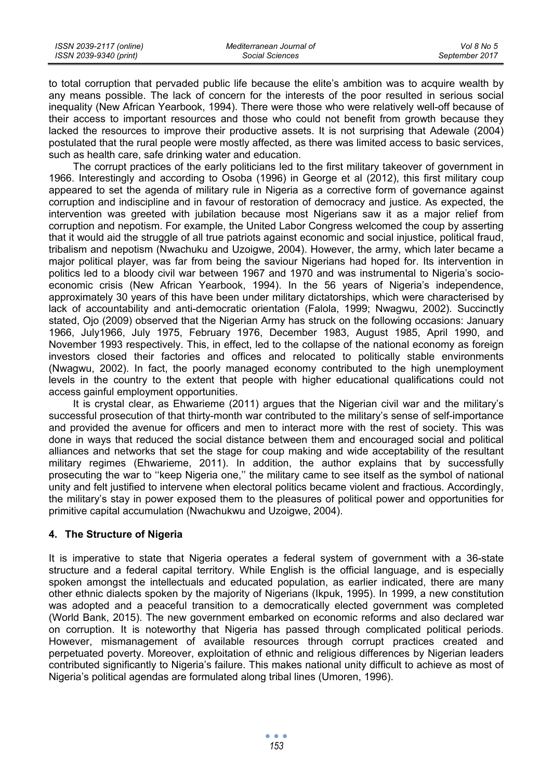| ISSN 2039-2117 (online) | Mediterranean Journal of | Vol 8 No 5     |
|-------------------------|--------------------------|----------------|
| ISSN 2039-9340 (print)  | Social Sciences          | September 2017 |

to total corruption that pervaded public life because the elite's ambition was to acquire wealth by any means possible. The lack of concern for the interests of the poor resulted in serious social inequality (New African Yearbook, 1994). There were those who were relatively well-off because of their access to important resources and those who could not benefit from growth because they lacked the resources to improve their productive assets. It is not surprising that Adewale (2004) postulated that the rural people were mostly affected, as there was limited access to basic services, such as health care, safe drinking water and education.

The corrupt practices of the early politicians led to the first military takeover of government in 1966. Interestingly and according to Osoba (1996) in George et al (2012), this first military coup appeared to set the agenda of military rule in Nigeria as a corrective form of governance against corruption and indiscipline and in favour of restoration of democracy and justice. As expected, the intervention was greeted with jubilation because most Nigerians saw it as a major relief from corruption and nepotism. For example, the United Labor Congress welcomed the coup by asserting that it would aid the struggle of all true patriots against economic and social injustice, political fraud, tribalism and nepotism (Nwachuku and Uzoigwe, 2004). However, the army, which later became a major political player, was far from being the saviour Nigerians had hoped for. Its intervention in politics led to a bloody civil war between 1967 and 1970 and was instrumental to Nigeria's socioeconomic crisis (New African Yearbook, 1994). In the 56 years of Nigeria's independence, approximately 30 years of this have been under military dictatorships, which were characterised by lack of accountability and anti-democratic orientation (Falola, 1999; Nwagwu, 2002). Succinctly stated, Ojo (2009) observed that the Nigerian Army has struck on the following occasions: January 1966, July1966, July 1975, February 1976, December 1983, August 1985, April 1990, and November 1993 respectively. This, in effect, led to the collapse of the national economy as foreign investors closed their factories and offices and relocated to politically stable environments (Nwagwu, 2002). In fact, the poorly managed economy contributed to the high unemployment levels in the country to the extent that people with higher educational qualifications could not access gainful employment opportunities.

It is crystal clear, as Ehwarieme (2011) argues that the Nigerian civil war and the military's successful prosecution of that thirty-month war contributed to the military's sense of self-importance and provided the avenue for officers and men to interact more with the rest of society. This was done in ways that reduced the social distance between them and encouraged social and political alliances and networks that set the stage for coup making and wide acceptability of the resultant military regimes (Ehwarieme, 2011). In addition, the author explains that by successfully prosecuting the war to ''keep Nigeria one,'' the military came to see itself as the symbol of national unity and felt justified to intervene when electoral politics became violent and fractious. Accordingly, the military's stay in power exposed them to the pleasures of political power and opportunities for primitive capital accumulation (Nwachukwu and Uzoigwe, 2004).

### **4. The Structure of Nigeria**

It is imperative to state that Nigeria operates a federal system of government with a 36-state structure and a federal capital territory. While English is the official language, and is especially spoken amongst the intellectuals and educated population, as earlier indicated, there are many other ethnic dialects spoken by the majority of Nigerians (Ikpuk, 1995). In 1999, a new constitution was adopted and a peaceful transition to a democratically elected government was completed (World Bank, 2015). The new government embarked on economic reforms and also declared war on corruption. It is noteworthy that Nigeria has passed through complicated political periods. However, mismanagement of available resources through corrupt practices created and perpetuated poverty. Moreover, exploitation of ethnic and religious differences by Nigerian leaders contributed significantly to Nigeria's failure. This makes national unity difficult to achieve as most of Nigeria's political agendas are formulated along tribal lines (Umoren, 1996).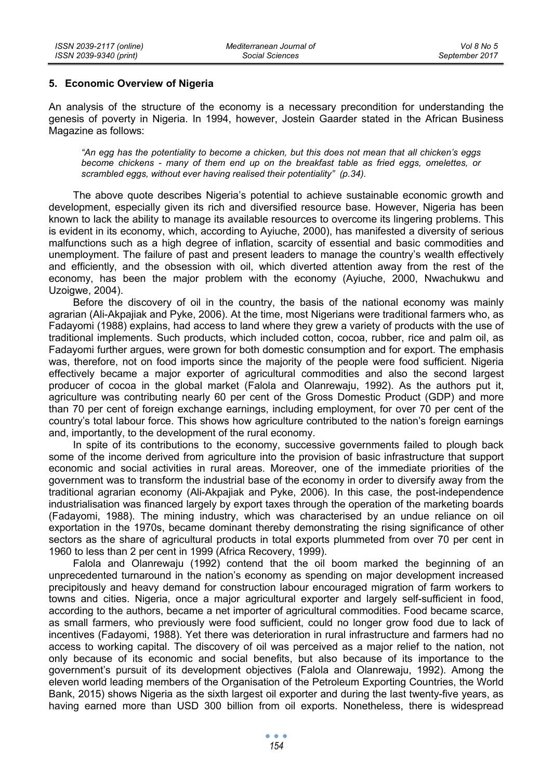#### **5. Economic Overview of Nigeria**

An analysis of the structure of the economy is a necessary precondition for understanding the genesis of poverty in Nigeria. In 1994, however, Jostein Gaarder stated in the African Business Magazine as follows:

*"An egg has the potentiality to become a chicken, but this does not mean that all chicken's eggs become chickens - many of them end up on the breakfast table as fried eggs, omelettes, or scrambled eggs, without ever having realised their potentiality" (p.34).* 

The above quote describes Nigeria's potential to achieve sustainable economic growth and development, especially given its rich and diversified resource base. However, Nigeria has been known to lack the ability to manage its available resources to overcome its lingering problems. This is evident in its economy, which, according to Ayiuche, 2000), has manifested a diversity of serious malfunctions such as a high degree of inflation, scarcity of essential and basic commodities and unemployment. The failure of past and present leaders to manage the country's wealth effectively and efficiently, and the obsession with oil, which diverted attention away from the rest of the economy, has been the major problem with the economy (Ayiuche, 2000, Nwachukwu and Uzoigwe, 2004).

Before the discovery of oil in the country, the basis of the national economy was mainly agrarian (Ali-Akpajiak and Pyke, 2006). At the time, most Nigerians were traditional farmers who, as Fadayomi (1988) explains, had access to land where they grew a variety of products with the use of traditional implements. Such products, which included cotton, cocoa, rubber, rice and palm oil, as Fadayomi further argues, were grown for both domestic consumption and for export. The emphasis was, therefore, not on food imports since the majority of the people were food sufficient. Nigeria effectively became a major exporter of agricultural commodities and also the second largest producer of cocoa in the global market (Falola and Olanrewaju, 1992). As the authors put it, agriculture was contributing nearly 60 per cent of the Gross Domestic Product (GDP) and more than 70 per cent of foreign exchange earnings, including employment, for over 70 per cent of the country's total labour force. This shows how agriculture contributed to the nation's foreign earnings and, importantly, to the development of the rural economy.

In spite of its contributions to the economy, successive governments failed to plough back some of the income derived from agriculture into the provision of basic infrastructure that support economic and social activities in rural areas. Moreover, one of the immediate priorities of the government was to transform the industrial base of the economy in order to diversify away from the traditional agrarian economy (Ali-Akpajiak and Pyke, 2006). In this case, the post-independence industrialisation was financed largely by export taxes through the operation of the marketing boards (Fadayomi, 1988). The mining industry, which was characterised by an undue reliance on oil exportation in the 1970s, became dominant thereby demonstrating the rising significance of other sectors as the share of agricultural products in total exports plummeted from over 70 per cent in 1960 to less than 2 per cent in 1999 (Africa Recovery, 1999).

Falola and Olanrewaju (1992) contend that the oil boom marked the beginning of an unprecedented turnaround in the nation's economy as spending on major development increased precipitously and heavy demand for construction labour encouraged migration of farm workers to towns and cities. Nigeria, once a major agricultural exporter and largely self-sufficient in food, according to the authors, became a net importer of agricultural commodities. Food became scarce, as small farmers, who previously were food sufficient, could no longer grow food due to lack of incentives (Fadayomi, 1988). Yet there was deterioration in rural infrastructure and farmers had no access to working capital. The discovery of oil was perceived as a major relief to the nation, not only because of its economic and social benefits, but also because of its importance to the government's pursuit of its development objectives (Falola and Olanrewaju, 1992). Among the eleven world leading members of the Organisation of the Petroleum Exporting Countries, the World Bank, 2015) shows Nigeria as the sixth largest oil exporter and during the last twenty-five years, as having earned more than USD 300 billion from oil exports. Nonetheless, there is widespread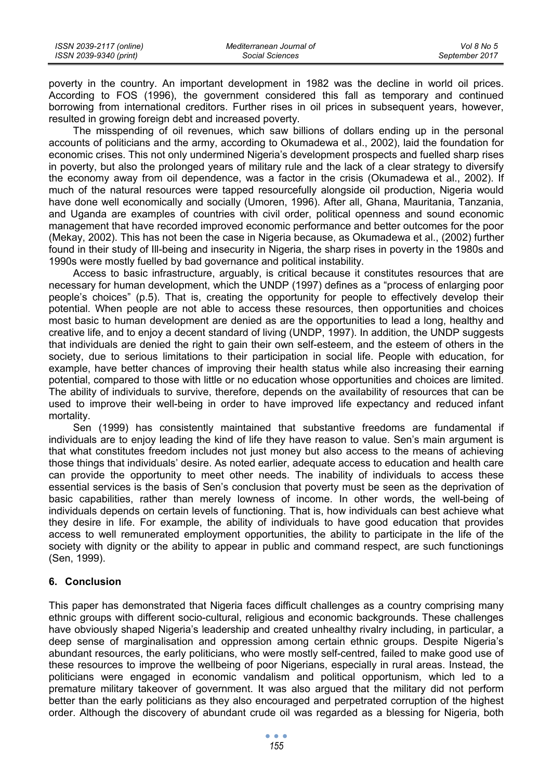| ISSN 2039-2117 (online) | Mediterranean Journal of | Vol 8 No 5     |
|-------------------------|--------------------------|----------------|
| ISSN 2039-9340 (print)  | Social Sciences          | September 2017 |

poverty in the country. An important development in 1982 was the decline in world oil prices. According to FOS (1996), the government considered this fall as temporary and continued borrowing from international creditors. Further rises in oil prices in subsequent years, however, resulted in growing foreign debt and increased poverty.

The misspending of oil revenues, which saw billions of dollars ending up in the personal accounts of politicians and the army, according to Okumadewa et al., 2002), laid the foundation for economic crises. This not only undermined Nigeria's development prospects and fuelled sharp rises in poverty, but also the prolonged years of military rule and the lack of a clear strategy to diversify the economy away from oil dependence, was a factor in the crisis (Okumadewa et al., 2002). If much of the natural resources were tapped resourcefully alongside oil production, Nigeria would have done well economically and socially (Umoren, 1996). After all, Ghana, Mauritania, Tanzania, and Uganda are examples of countries with civil order, political openness and sound economic management that have recorded improved economic performance and better outcomes for the poor (Mekay, 2002). This has not been the case in Nigeria because, as Okumadewa et al., (2002) further found in their study of Ill-being and insecurity in Nigeria, the sharp rises in poverty in the 1980s and 1990s were mostly fuelled by bad governance and political instability.

Access to basic infrastructure, arguably, is critical because it constitutes resources that are necessary for human development, which the UNDP (1997) defines as a "process of enlarging poor people's choices" (p.5). That is, creating the opportunity for people to effectively develop their potential. When people are not able to access these resources, then opportunities and choices most basic to human development are denied as are the opportunities to lead a long, healthy and creative life, and to enjoy a decent standard of living (UNDP, 1997). In addition, the UNDP suggests that individuals are denied the right to gain their own self-esteem, and the esteem of others in the society, due to serious limitations to their participation in social life. People with education, for example, have better chances of improving their health status while also increasing their earning potential, compared to those with little or no education whose opportunities and choices are limited. The ability of individuals to survive, therefore, depends on the availability of resources that can be used to improve their well-being in order to have improved life expectancy and reduced infant mortality.

Sen (1999) has consistently maintained that substantive freedoms are fundamental if individuals are to enjoy leading the kind of life they have reason to value. Sen's main argument is that what constitutes freedom includes not just money but also access to the means of achieving those things that individuals' desire. As noted earlier, adequate access to education and health care can provide the opportunity to meet other needs. The inability of individuals to access these essential services is the basis of Sen's conclusion that poverty must be seen as the deprivation of basic capabilities, rather than merely lowness of income. In other words, the well-being of individuals depends on certain levels of functioning. That is, how individuals can best achieve what they desire in life. For example, the ability of individuals to have good education that provides access to well remunerated employment opportunities, the ability to participate in the life of the society with dignity or the ability to appear in public and command respect, are such functionings (Sen, 1999).

### **6. Conclusion**

This paper has demonstrated that Nigeria faces difficult challenges as a country comprising many ethnic groups with different socio-cultural, religious and economic backgrounds. These challenges have obviously shaped Nigeria's leadership and created unhealthy rivalry including, in particular, a deep sense of marginalisation and oppression among certain ethnic groups. Despite Nigeria's abundant resources, the early politicians, who were mostly self-centred, failed to make good use of these resources to improve the wellbeing of poor Nigerians, especially in rural areas. Instead, the politicians were engaged in economic vandalism and political opportunism, which led to a premature military takeover of government. It was also argued that the military did not perform better than the early politicians as they also encouraged and perpetrated corruption of the highest order. Although the discovery of abundant crude oil was regarded as a blessing for Nigeria, both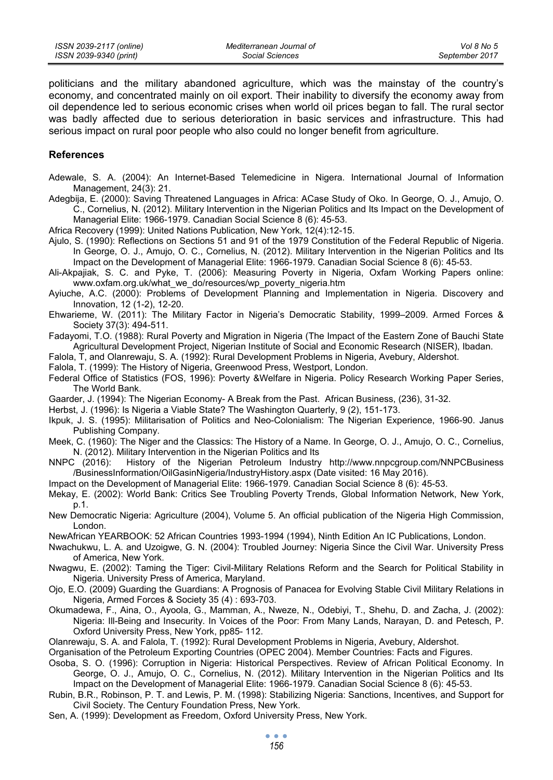politicians and the military abandoned agriculture, which was the mainstay of the country's economy, and concentrated mainly on oil export. Their inability to diversify the economy away from oil dependence led to serious economic crises when world oil prices began to fall. The rural sector was badly affected due to serious deterioration in basic services and infrastructure. This had serious impact on rural poor people who also could no longer benefit from agriculture.

#### **References**

- Adewale, S. A. (2004): An Internet-Based Telemedicine in Nigera. International Journal of Information Management, 24(3): 21.
- Adegbija, E. (2000): Saving Threatened Languages in Africa: ACase Study of Oko. In George, O. J., Amujo, O. C., Cornelius, N. (2012). Military Intervention in the Nigerian Politics and Its Impact on the Development of Managerial Elite: 1966-1979. Canadian Social Science 8 (6): 45-53.

Africa Recovery (1999): United Nations Publication, New York, 12(4):12-15.

- Ajulo, S. (1990): Reflections on Sections 51 and 91 of the 1979 Constitution of the Federal Republic of Nigeria. In George, O. J., Amujo, O. C., Cornelius, N. (2012). Military Intervention in the Nigerian Politics and Its Impact on the Development of Managerial Elite: 1966-1979. Canadian Social Science 8 (6): 45-53.
- Ali-Akpajiak, S. C. and Pyke, T. (2006): Measuring Poverty in Nigeria, Oxfam Working Papers online: www.oxfam.org.uk/what\_we\_do/resources/wp\_poverty\_nigeria.htm
- Ayiuche, A.C. (2000): Problems of Development Planning and Implementation in Nigeria. Discovery and Innovation, 12 (1-2), 12-20.
- Ehwarieme, W. (2011): The Military Factor in Nigeria's Democratic Stability, 1999–2009. Armed Forces & Society 37(3): 494-511.
- Fadayomi, T.O. (1988): Rural Poverty and Migration in Nigeria (The Impact of the Eastern Zone of Bauchi State Agricultural Development Project, Nigerian Institute of Social and Economic Research (NISER), Ibadan.

Falola, T, and Olanrewaju, S. A. (1992): Rural Development Problems in Nigeria, Avebury, Aldershot.

- Falola, T. (1999): The History of Nigeria, Greenwood Press, Westport, London.
- Federal Office of Statistics (FOS, 1996): Poverty &Welfare in Nigeria. Policy Research Working Paper Series, The World Bank.
- Gaarder, J. (1994): The Nigerian Economy- A Break from the Past. African Business, (236), 31-32.
- Herbst, J. (1996): Is Nigeria a Viable State? The Washington Quarterly, 9 (2), 151-173.
- Ikpuk, J. S. (1995): Militarisation of Politics and Neo-Colonialism: The Nigerian Experience, 1966-90. Janus Publishing Company.
- Meek, C. (1960): The Niger and the Classics: The History of a Name. In George, O. J., Amujo, O. C., Cornelius, N. (2012). Military Intervention in the Nigerian Politics and Its
- NNPC (2016): History of the Nigerian Petroleum Industry http://www.nnpcgroup.com/NNPCBusiness /BusinessInformation/OilGasinNigeria/IndustryHistory.aspx (Date visited: 16 May 2016).
- Impact on the Development of Managerial Elite: 1966-1979. Canadian Social Science 8 (6): 45-53.

Mekay, E. (2002): World Bank: Critics See Troubling Poverty Trends, Global Information Network, New York, p.1.

- New Democratic Nigeria: Agriculture (2004), Volume 5. An official publication of the Nigeria High Commission, London.
- NewAfrican YEARBOOK: 52 African Countries 1993-1994 (1994), Ninth Edition An IC Publications, London.
- Nwachukwu, L. A. and Uzoigwe, G. N. (2004): Troubled Journey: Nigeria Since the Civil War. University Press of America, New York.
- Nwagwu, E. (2002): Taming the Tiger: Civil-Military Relations Reform and the Search for Political Stability in Nigeria. University Press of America, Maryland.
- Ojo, E.O. (2009) Guarding the Guardians: A Prognosis of Panacea for Evolving Stable Civil Military Relations in Nigeria, Armed Forces & Society 35 (4) : 693-703.
- Okumadewa, F., Aina, O., Ayoola, G., Mamman, A., Nweze, N., Odebiyi, T., Shehu, D. and Zacha, J. (2002): Nigeria: Ill-Being and Insecurity. In Voices of the Poor: From Many Lands, Narayan, D. and Petesch, P. Oxford University Press, New York, pp85- 112.
- Olanrewaju, S. A. and Falola, T. (1992): Rural Development Problems in Nigeria, Avebury, Aldershot.
- Organisation of the Petroleum Exporting Countries (OPEC 2004). Member Countries: Facts and Figures.
- Osoba, S. O. (1996): Corruption in Nigeria: Historical Perspectives. Review of African Political Economy. In George, O. J., Amujo, O. C., Cornelius, N. (2012). Military Intervention in the Nigerian Politics and Its Impact on the Development of Managerial Elite: 1966-1979. Canadian Social Science 8 (6): 45-53.
- Rubin, B.R., Robinson, P. T. and Lewis, P. M. (1998): Stabilizing Nigeria: Sanctions, Incentives, and Support for Civil Society. The Century Foundation Press, New York.
- Sen, A. (1999): Development as Freedom, Oxford University Press, New York.